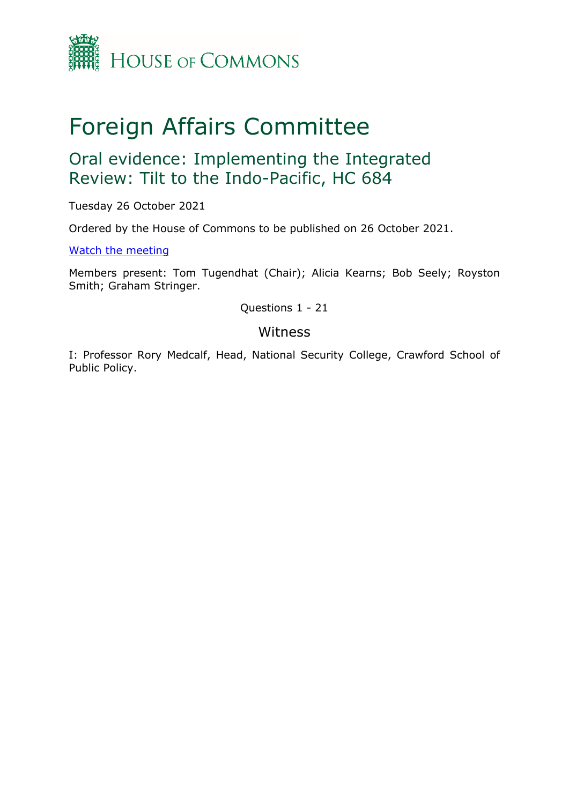

# Foreign Affairs Committee

## Oral evidence: Implementing the Integrated Review: Tilt to the Indo-Pacific, HC 684

Tuesday 26 October 2021

Ordered by the House of Commons to be published on 26 October 2021.

[Watch](https://www.parliamentlive.tv/Event/Index/1d751cf7-1f59-4fc0-80d1-e3182fa4ac4a) [the](https://www.parliamentlive.tv/Event/Index/1d751cf7-1f59-4fc0-80d1-e3182fa4ac4a) [meeting](https://www.parliamentlive.tv/Event/Index/1d751cf7-1f59-4fc0-80d1-e3182fa4ac4a)

Members present: Tom Tugendhat (Chair); Alicia Kearns; Bob Seely; Royston Smith; Graham Stringer.

Questions 1 - 21

#### Witness

I: Professor Rory Medcalf, Head, National Security College, Crawford School of Public Policy.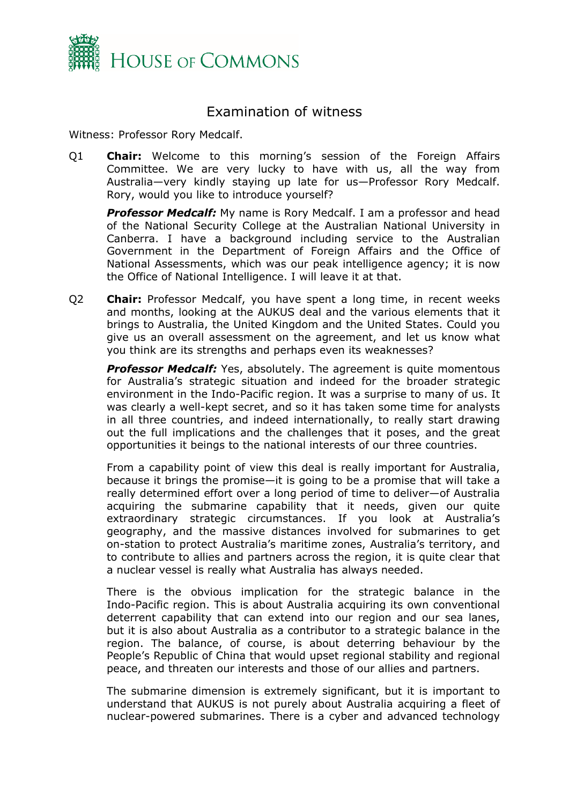

### Examination of witness

Witness: Professor Rory Medcalf.

Q1 **Chair:** Welcome to this morning's session of the Foreign Affairs Committee. We are very lucky to have with us, all the way from Australia—very kindly staying up late for us—Professor Rory Medcalf. Rory, would you like to introduce yourself?

*Professor Medcalf:* My name is Rory Medcalf. I am a professor and head of the National Security College at the Australian National University in Canberra. I have a background including service to the Australian Government in the Department of Foreign Affairs and the Office of National Assessments, which was our peak intelligence agency; it is now the Office of National Intelligence. I will leave it at that.

Q2 **Chair:** Professor Medcalf, you have spent a long time, in recent weeks and months, looking at the AUKUS deal and the various elements that it brings to Australia, the United Kingdom and the United States. Could you give us an overall assessment on the agreement, and let us know what you think are its strengths and perhaps even its weaknesses?

**Professor Medcalf:** Yes, absolutely. The agreement is quite momentous for Australia's strategic situation and indeed for the broader strategic environment in the Indo-Pacific region. It was a surprise to many of us. It was clearly a well-kept secret, and so it has taken some time for analysts in all three countries, and indeed internationally, to really start drawing out the full implications and the challenges that it poses, and the great opportunities it beings to the national interests of our three countries.

From a capability point of view this deal is really important for Australia, because it brings the promise—it is going to be a promise that will take a really determined effort over a long period of time to deliver—of Australia acquiring the submarine capability that it needs, given our quite extraordinary strategic circumstances. If you look at Australia's geography, and the massive distances involved for submarines to get on-station to protect Australia's maritime zones, Australia's territory, and to contribute to allies and partners across the region, it is quite clear that a nuclear vessel is really what Australia has always needed.

There is the obvious implication for the strategic balance in the Indo-Pacific region. This is about Australia acquiring its own conventional deterrent capability that can extend into our region and our sea lanes, but it is also about Australia as a contributor to a strategic balance in the region. The balance, of course, is about deterring behaviour by the People's Republic of China that would upset regional stability and regional peace, and threaten our interests and those of our allies and partners.

The submarine dimension is extremely significant, but it is important to understand that AUKUS is not purely about Australia acquiring a fleet of nuclear-powered submarines. There is a cyber and advanced technology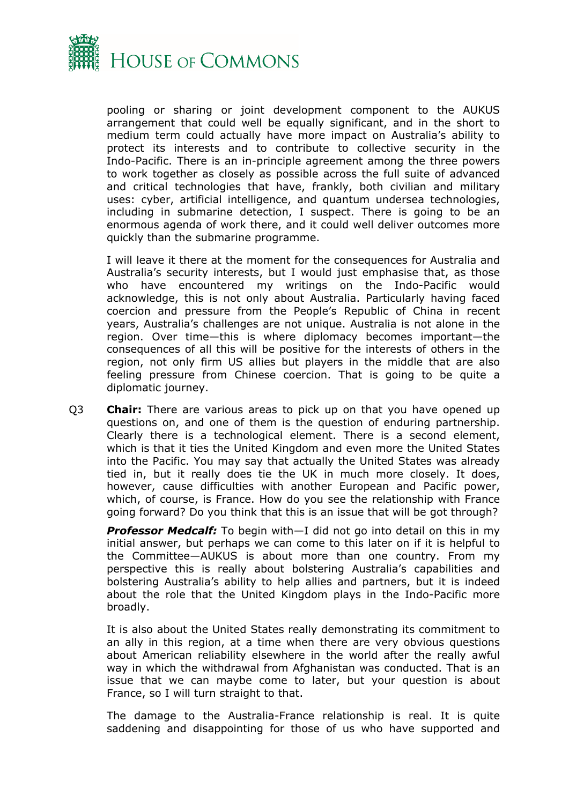

pooling or sharing or joint development component to the AUKUS arrangement that could well be equally significant, and in the short to medium term could actually have more impact on Australia's ability to protect its interests and to contribute to collective security in the Indo-Pacific. There is an in-principle agreement among the three powers to work together as closely as possible across the full suite of advanced and critical technologies that have, frankly, both civilian and military uses: cyber, artificial intelligence, and quantum undersea technologies, including in submarine detection, I suspect. There is going to be an enormous agenda of work there, and it could well deliver outcomes more quickly than the submarine programme.

I will leave it there at the moment for the consequences for Australia and Australia's security interests, but I would just emphasise that, as those who have encountered my writings on the Indo-Pacific would acknowledge, this is not only about Australia. Particularly having faced coercion and pressure from the People's Republic of China in recent years, Australia's challenges are not unique. Australia is not alone in the region. Over time—this is where diplomacy becomes important—the consequences of all this will be positive for the interests of others in the region, not only firm US allies but players in the middle that are also feeling pressure from Chinese coercion. That is going to be quite a diplomatic journey.

Q3 **Chair:** There are various areas to pick up on that you have opened up questions on, and one of them is the question of enduring partnership. Clearly there is a technological element. There is a second element, which is that it ties the United Kingdom and even more the United States into the Pacific. You may say that actually the United States was already tied in, but it really does tie the UK in much more closely. It does, however, cause difficulties with another European and Pacific power, which, of course, is France. How do you see the relationship with France going forward? Do you think that this is an issue that will be got through?

*Professor Medcalf:* To begin with—I did not go into detail on this in my initial answer, but perhaps we can come to this later on if it is helpful to the Committee—AUKUS is about more than one country. From my perspective this is really about bolstering Australia's capabilities and bolstering Australia's ability to help allies and partners, but it is indeed about the role that the United Kingdom plays in the Indo-Pacific more broadly.

It is also about the United States really demonstrating its commitment to an ally in this region, at a time when there are very obvious questions about American reliability elsewhere in the world after the really awful way in which the withdrawal from Afghanistan was conducted. That is an issue that we can maybe come to later, but your question is about France, so I will turn straight to that.

The damage to the Australia-France relationship is real. It is quite saddening and disappointing for those of us who have supported and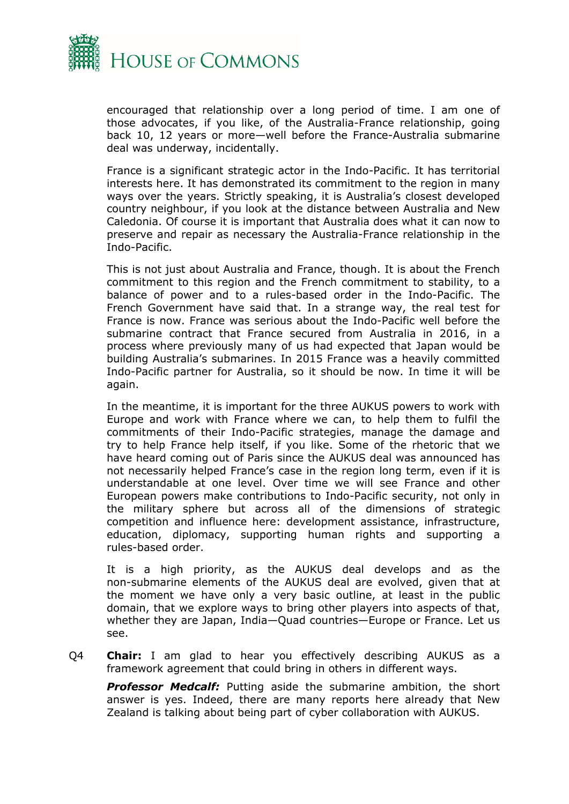

encouraged that relationship over a long period of time. I am one of those advocates, if you like, of the Australia-France relationship, going back 10, 12 years or more—well before the France-Australia submarine deal was underway, incidentally.

France is a significant strategic actor in the Indo-Pacific. It has territorial interests here. It has demonstrated its commitment to the region in many ways over the years. Strictly speaking, it is Australia's closest developed country neighbour, if you look at the distance between Australia and New Caledonia. Of course it is important that Australia does what it can now to preserve and repair as necessary the Australia-France relationship in the Indo-Pacific.

This is not just about Australia and France, though. It is about the French commitment to this region and the French commitment to stability, to a balance of power and to a rules-based order in the Indo-Pacific. The French Government have said that. In a strange way, the real test for France is now. France was serious about the Indo-Pacific well before the submarine contract that France secured from Australia in 2016, in a process where previously many of us had expected that Japan would be building Australia's submarines. In 2015 France was a heavily committed Indo-Pacific partner for Australia, so it should be now. In time it will be again.

In the meantime, it is important for the three AUKUS powers to work with Europe and work with France where we can, to help them to fulfil the commitments of their Indo-Pacific strategies, manage the damage and try to help France help itself, if you like. Some of the rhetoric that we have heard coming out of Paris since the AUKUS deal was announced has not necessarily helped France's case in the region long term, even if it is understandable at one level. Over time we will see France and other European powers make contributions to Indo-Pacific security, not only in the military sphere but across all of the dimensions of strategic competition and influence here: development assistance, infrastructure, education, diplomacy, supporting human rights and supporting a rules-based order.

It is a high priority, as the AUKUS deal develops and as the non-submarine elements of the AUKUS deal are evolved, given that at the moment we have only a very basic outline, at least in the public domain, that we explore ways to bring other players into aspects of that, whether they are Japan, India—Quad countries—Europe or France. Let us see.

Q4 **Chair:** I am glad to hear you effectively describing AUKUS as a framework agreement that could bring in others in different ways.

*Professor Medcalf:* Putting aside the submarine ambition, the short answer is yes. Indeed, there are many reports here already that New Zealand is talking about being part of cyber collaboration with AUKUS.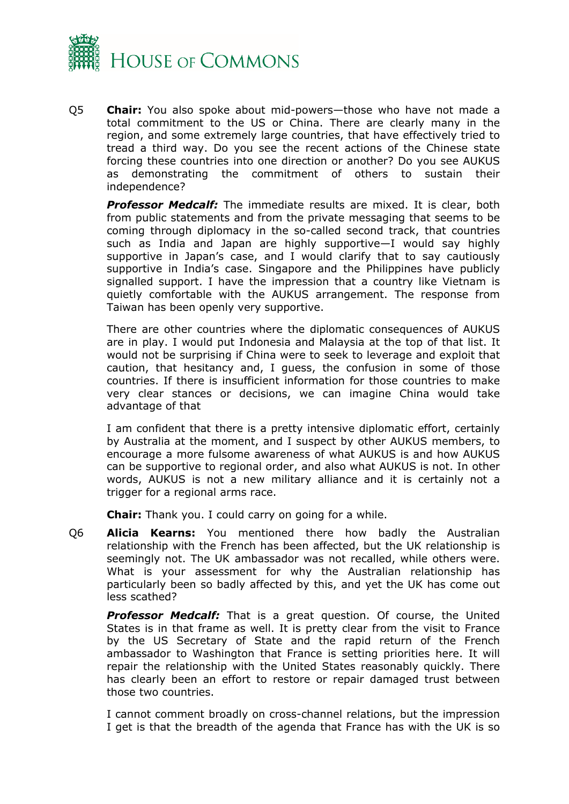

Q5 **Chair:** You also spoke about mid-powers—those who have not made a total commitment to the US or China. There are clearly many in the region, and some extremely large countries, that have effectively tried to tread a third way. Do you see the recent actions of the Chinese state forcing these countries into one direction or another? Do you see AUKUS as demonstrating the commitment of others to sustain their independence?

*Professor Medcalf:* The immediate results are mixed. It is clear, both from public statements and from the private messaging that seems to be coming through diplomacy in the so-called second track, that countries such as India and Japan are highly supportive—I would say highly supportive in Japan's case, and I would clarify that to say cautiously supportive in India's case. Singapore and the Philippines have publicly signalled support. I have the impression that a country like Vietnam is quietly comfortable with the AUKUS arrangement. The response from Taiwan has been openly very supportive.

There are other countries where the diplomatic consequences of AUKUS are in play. I would put Indonesia and Malaysia at the top of that list. It would not be surprising if China were to seek to leverage and exploit that caution, that hesitancy and, I guess, the confusion in some of those countries. If there is insufficient information for those countries to make very clear stances or decisions, we can imagine China would take advantage of that

I am confident that there is a pretty intensive diplomatic effort, certainly by Australia at the moment, and I suspect by other AUKUS members, to encourage a more fulsome awareness of what AUKUS is and how AUKUS can be supportive to regional order, and also what AUKUS is not. In other words, AUKUS is not a new military alliance and it is certainly not a trigger for a regional arms race.

**Chair:** Thank you. I could carry on going for a while.

Q6 **Alicia Kearns:** You mentioned there how badly the Australian relationship with the French has been affected, but the UK relationship is seemingly not. The UK ambassador was not recalled, while others were. What is your assessment for why the Australian relationship has particularly been so badly affected by this, and yet the UK has come out less scathed?

*Professor Medcalf:* That is a great question. Of course, the United States is in that frame as well. It is pretty clear from the visit to France by the US Secretary of State and the rapid return of the French ambassador to Washington that France is setting priorities here. It will repair the relationship with the United States reasonably quickly. There has clearly been an effort to restore or repair damaged trust between those two countries.

I cannot comment broadly on cross-channel relations, but the impression I get is that the breadth of the agenda that France has with the UK is so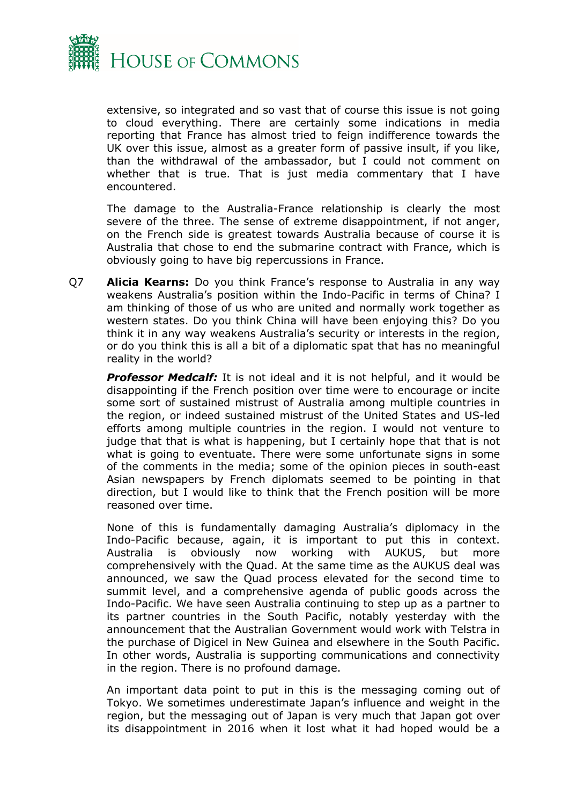

extensive, so integrated and so vast that of course this issue is not going to cloud everything. There are certainly some indications in media reporting that France has almost tried to feign indifference towards the UK over this issue, almost as a greater form of passive insult, if you like, than the withdrawal of the ambassador, but I could not comment on whether that is true. That is just media commentary that I have encountered.

The damage to the Australia-France relationship is clearly the most severe of the three. The sense of extreme disappointment, if not anger, on the French side is greatest towards Australia because of course it is Australia that chose to end the submarine contract with France, which is obviously going to have big repercussions in France.

Q7 **Alicia Kearns:** Do you think France's response to Australia in any way weakens Australia's position within the Indo-Pacific in terms of China? I am thinking of those of us who are united and normally work together as western states. Do you think China will have been enjoying this? Do you think it in any way weakens Australia's security or interests in the region, or do you think this is all a bit of a diplomatic spat that has no meaningful reality in the world?

*Professor Medcalf:* It is not ideal and it is not helpful, and it would be disappointing if the French position over time were to encourage or incite some sort of sustained mistrust of Australia among multiple countries in the region, or indeed sustained mistrust of the United States and US-led efforts among multiple countries in the region. I would not venture to judge that that is what is happening, but I certainly hope that that is not what is going to eventuate. There were some unfortunate signs in some of the comments in the media; some of the opinion pieces in south-east Asian newspapers by French diplomats seemed to be pointing in that direction, but I would like to think that the French position will be more reasoned over time.

None of this is fundamentally damaging Australia's diplomacy in the Indo-Pacific because, again, it is important to put this in context. Australia is obviously now working with AUKUS, but more comprehensively with the Quad. At the same time as the AUKUS deal was announced, we saw the Quad process elevated for the second time to summit level, and a comprehensive agenda of public goods across the Indo-Pacific. We have seen Australia continuing to step up as a partner to its partner countries in the South Pacific, notably yesterday with the announcement that the Australian Government would work with Telstra in the purchase of Digicel in New Guinea and elsewhere in the South Pacific. In other words, Australia is supporting communications and connectivity in the region. There is no profound damage.

An important data point to put in this is the messaging coming out of Tokyo. We sometimes underestimate Japan's influence and weight in the region, but the messaging out of Japan is very much that Japan got over its disappointment in 2016 when it lost what it had hoped would be a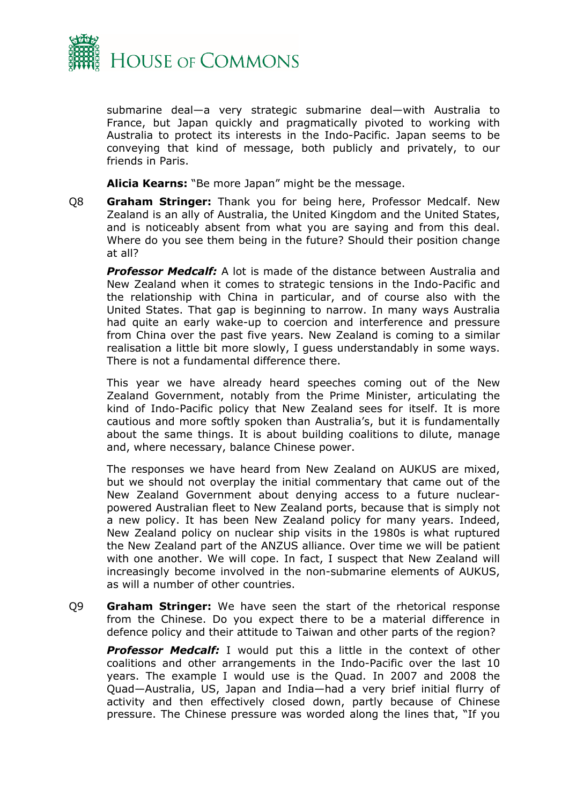

submarine deal—a very strategic submarine deal—with Australia to France, but Japan quickly and pragmatically pivoted to working with Australia to protect its interests in the Indo-Pacific. Japan seems to be conveying that kind of message, both publicly and privately, to our friends in Paris.

**Alicia Kearns:** "Be more Japan" might be the message.

Q8 **Graham Stringer:** Thank you for being here, Professor Medcalf. New Zealand is an ally of Australia, the United Kingdom and the United States, and is noticeably absent from what you are saying and from this deal. Where do you see them being in the future? Should their position change at all?

*Professor Medcalf:* A lot is made of the distance between Australia and New Zealand when it comes to strategic tensions in the Indo-Pacific and the relationship with China in particular, and of course also with the United States. That gap is beginning to narrow. In many ways Australia had quite an early wake-up to coercion and interference and pressure from China over the past five years. New Zealand is coming to a similar realisation a little bit more slowly, I guess understandably in some ways. There is not a fundamental difference there.

This year we have already heard speeches coming out of the New Zealand Government, notably from the Prime Minister, articulating the kind of Indo-Pacific policy that New Zealand sees for itself. It is more cautious and more softly spoken than Australia's, but it is fundamentally about the same things. It is about building coalitions to dilute, manage and, where necessary, balance Chinese power.

The responses we have heard from New Zealand on AUKUS are mixed, but we should not overplay the initial commentary that came out of the New Zealand Government about denying access to a future nuclearpowered Australian fleet to New Zealand ports, because that is simply not a new policy. It has been New Zealand policy for many years. Indeed, New Zealand policy on nuclear ship visits in the 1980s is what ruptured the New Zealand part of the ANZUS alliance. Over time we will be patient with one another. We will cope. In fact, I suspect that New Zealand will increasingly become involved in the non-submarine elements of AUKUS, as will a number of other countries.

Q9 **Graham Stringer:** We have seen the start of the rhetorical response from the Chinese. Do you expect there to be a material difference in defence policy and their attitude to Taiwan and other parts of the region?

*Professor Medcalf:* I would put this a little in the context of other coalitions and other arrangements in the Indo-Pacific over the last 10 years. The example I would use is the Quad. In 2007 and 2008 the Quad—Australia, US, Japan and India—had a very brief initial flurry of activity and then effectively closed down, partly because of Chinese pressure. The Chinese pressure was worded along the lines that, "If you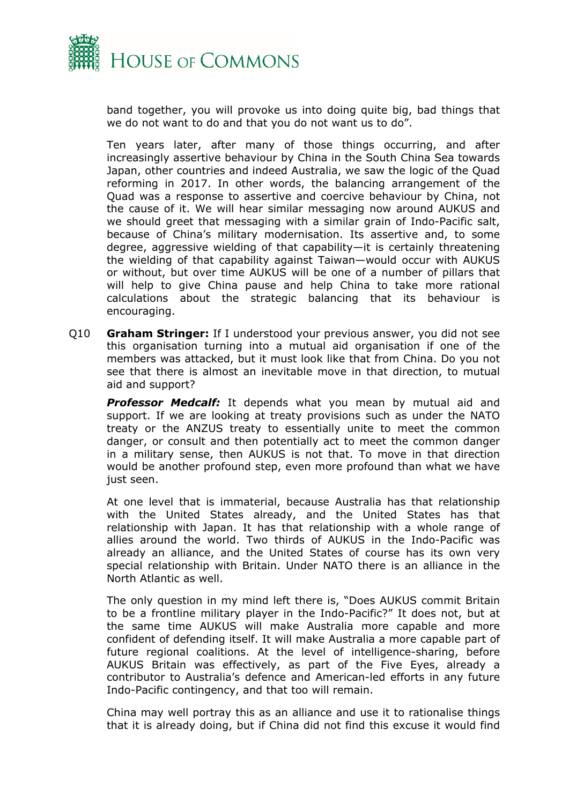

band together, you will provoke us into doing quite big, bad things that we do not want to do and that you do not want us to do".

Ten years later, after many of those things occurring, and after increasingly assertive behaviour by China in the South China Sea towards Japan, other countries and indeed Australia, we saw the logic of the Quad reforming in 2017. In other words, the balancing arrangement of the Quad was a response to assertive and coercive behaviour by China, not the cause of it. We will hear similar messaging now around AUKUS and we should greet that messaging with a similar grain of Indo-Pacific salt, because of China's military modernisation. Its assertive and, to some degree, aggressive wielding of that capability—it is certainly threatening the wielding of that capability against Taiwan—would occur with AUKUS or without, but over time AUKUS will be one of a number of pillars that will help to give China pause and help China to take more rational calculations about the strategic balancing that its behaviour is encouraging.

Q10 **Graham Stringer:** If I understood your previous answer, you did not see this organisation turning into a mutual aid organisation if one of the members was attacked, but it must look like that from China. Do you not see that there is almost an inevitable move in that direction, to mutual aid and support?

*Professor Medcalf:* It depends what you mean by mutual aid and support. If we are looking at treaty provisions such as under the NATO treaty or the ANZUS treaty to essentially unite to meet the common danger, or consult and then potentially act to meet the common danger in a military sense, then AUKUS is not that. To move in that direction would be another profound step, even more profound than what we have just seen.

At one level that is immaterial, because Australia has that relationship with the United States already, and the United States has that relationship with Japan. It has that relationship with a whole range of allies around the world. Two thirds of AUKUS in the Indo-Pacific was already an alliance, and the United States of course has its own very special relationship with Britain. Under NATO there is an alliance in the North Atlantic as well.

The only question in my mind left there is, "Does AUKUS commit Britain to be a frontline military player in the Indo-Pacific?" It does not, but at the same time AUKUS will make Australia more capable and more confident of defending itself. It will make Australia a more capable part of future regional coalitions. At the level of intelligence-sharing, before AUKUS Britain was effectively, as part of the Five Eyes, already a contributor to Australia's defence and American-led efforts in any future Indo-Pacific contingency, and that too will remain.

China may well portray this as an alliance and use it to rationalise things that it is already doing, but if China did not find this excuse it would find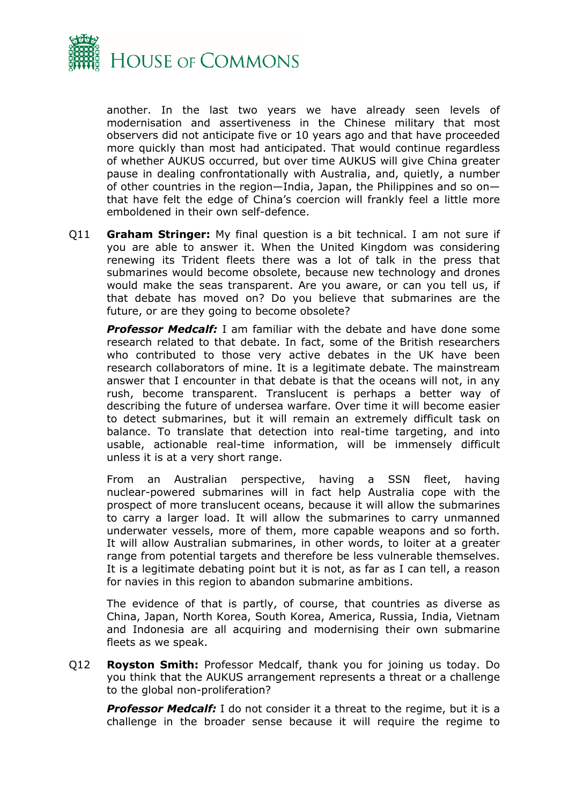

another. In the last two years we have already seen levels of modernisation and assertiveness in the Chinese military that most observers did not anticipate five or 10 years ago and that have proceeded more quickly than most had anticipated. That would continue regardless of whether AUKUS occurred, but over time AUKUS will give China greater pause in dealing confrontationally with Australia, and, quietly, a number of other countries in the region—India, Japan, the Philippines and so on that have felt the edge of China's coercion will frankly feel a little more emboldened in their own self-defence.

Q11 **Graham Stringer:** My final question is a bit technical. I am not sure if you are able to answer it. When the United Kingdom was considering renewing its Trident fleets there was a lot of talk in the press that submarines would become obsolete, because new technology and drones would make the seas transparent. Are you aware, or can you tell us, if that debate has moved on? Do you believe that submarines are the future, or are they going to become obsolete?

*Professor Medcalf:* I am familiar with the debate and have done some research related to that debate. In fact, some of the British researchers who contributed to those very active debates in the UK have been research collaborators of mine. It is a legitimate debate. The mainstream answer that I encounter in that debate is that the oceans will not, in any rush, become transparent. Translucent is perhaps a better way of describing the future of undersea warfare. Over time it will become easier to detect submarines, but it will remain an extremely difficult task on balance. To translate that detection into real-time targeting, and into usable, actionable real-time information, will be immensely difficult unless it is at a very short range.

From an Australian perspective, having a SSN fleet, having nuclear-powered submarines will in fact help Australia cope with the prospect of more translucent oceans, because it will allow the submarines to carry a larger load. It will allow the submarines to carry unmanned underwater vessels, more of them, more capable weapons and so forth. It will allow Australian submarines, in other words, to loiter at a greater range from potential targets and therefore be less vulnerable themselves. It is a legitimate debating point but it is not, as far as I can tell, a reason for navies in this region to abandon submarine ambitions.

The evidence of that is partly, of course, that countries as diverse as China, Japan, North Korea, South Korea, America, Russia, India, Vietnam and Indonesia are all acquiring and modernising their own submarine fleets as we speak.

Q12 **Royston Smith:** Professor Medcalf, thank you for joining us today. Do you think that the AUKUS arrangement represents a threat or a challenge to the global non-proliferation?

**Professor Medcalf:** I do not consider it a threat to the regime, but it is a challenge in the broader sense because it will require the regime to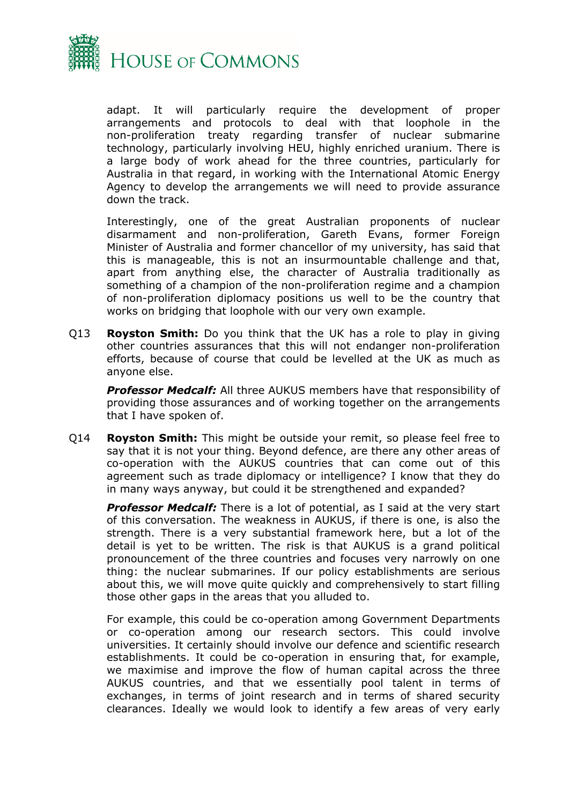

adapt. It will particularly require the development of proper arrangements and protocols to deal with that loophole in the non-proliferation treaty regarding transfer of nuclear submarine technology, particularly involving HEU, highly enriched uranium. There is a large body of work ahead for the three countries, particularly for Australia in that regard, in working with the International Atomic Energy Agency to develop the arrangements we will need to provide assurance down the track.

Interestingly, one of the great Australian proponents of nuclear disarmament and non-proliferation, Gareth Evans, former Foreign Minister of Australia and former chancellor of my university, has said that this is manageable, this is not an insurmountable challenge and that, apart from anything else, the character of Australia traditionally as something of a champion of the non-proliferation regime and a champion of non-proliferation diplomacy positions us well to be the country that works on bridging that loophole with our very own example.

Q13 **Royston Smith:** Do you think that the UK has a role to play in giving other countries assurances that this will not endanger non-proliferation efforts, because of course that could be levelled at the UK as much as anyone else.

*Professor Medcalf:* All three AUKUS members have that responsibility of providing those assurances and of working together on the arrangements that I have spoken of.

Q14 **Royston Smith:** This might be outside your remit, so please feel free to say that it is not your thing. Beyond defence, are there any other areas of co-operation with the AUKUS countries that can come out of this agreement such as trade diplomacy or intelligence? I know that they do in many ways anyway, but could it be strengthened and expanded?

*Professor Medcalf:* There is a lot of potential, as I said at the very start of this conversation. The weakness in AUKUS, if there is one, is also the strength. There is a very substantial framework here, but a lot of the detail is yet to be written. The risk is that AUKUS is a grand political pronouncement of the three countries and focuses very narrowly on one thing: the nuclear submarines. If our policy establishments are serious about this, we will move quite quickly and comprehensively to start filling those other gaps in the areas that you alluded to.

For example, this could be co-operation among Government Departments or co-operation among our research sectors. This could involve universities. It certainly should involve our defence and scientific research establishments. It could be co-operation in ensuring that, for example, we maximise and improve the flow of human capital across the three AUKUS countries, and that we essentially pool talent in terms of exchanges, in terms of joint research and in terms of shared security clearances. Ideally we would look to identify a few areas of very early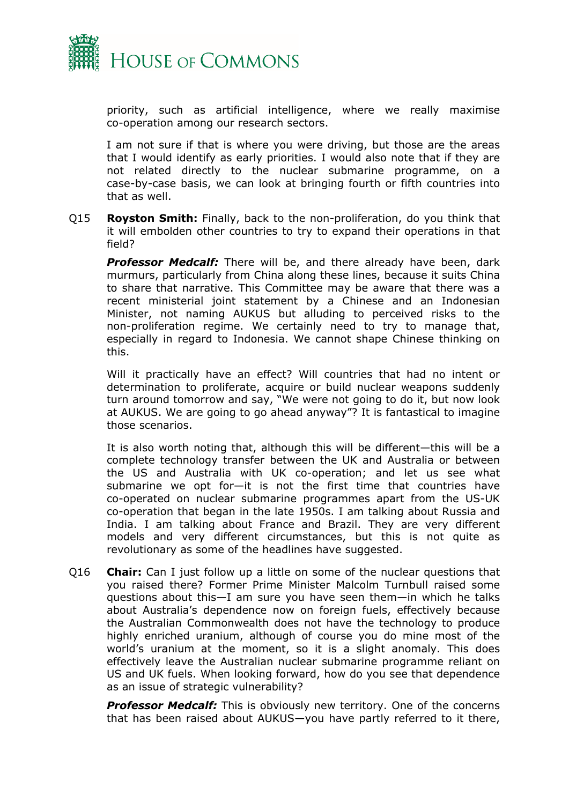

priority, such as artificial intelligence, where we really maximise co-operation among our research sectors.

I am not sure if that is where you were driving, but those are the areas that I would identify as early priorities. I would also note that if they are not related directly to the nuclear submarine programme, on a case-by-case basis, we can look at bringing fourth or fifth countries into that as well.

Q15 **Royston Smith:** Finally, back to the non-proliferation, do you think that it will embolden other countries to try to expand their operations in that field?

*Professor Medcalf:* There will be, and there already have been, dark murmurs, particularly from China along these lines, because it suits China to share that narrative. This Committee may be aware that there was a recent ministerial joint statement by a Chinese and an Indonesian Minister, not naming AUKUS but alluding to perceived risks to the non-proliferation regime. We certainly need to try to manage that, especially in regard to Indonesia. We cannot shape Chinese thinking on this.

Will it practically have an effect? Will countries that had no intent or determination to proliferate, acquire or build nuclear weapons suddenly turn around tomorrow and say, "We were not going to do it, but now look at AUKUS. We are going to go ahead anyway"? It is fantastical to imagine those scenarios.

It is also worth noting that, although this will be different—this will be a complete technology transfer between the UK and Australia or between the US and Australia with UK co-operation; and let us see what submarine we opt for—it is not the first time that countries have co-operated on nuclear submarine programmes apart from the US-UK co-operation that began in the late 1950s. I am talking about Russia and India. I am talking about France and Brazil. They are very different models and very different circumstances, but this is not quite as revolutionary as some of the headlines have suggested.

Q16 **Chair:** Can I just follow up a little on some of the nuclear questions that you raised there? Former Prime Minister Malcolm Turnbull raised some questions about this—I am sure you have seen them—in which he talks about Australia's dependence now on foreign fuels, effectively because the Australian Commonwealth does not have the technology to produce highly enriched uranium, although of course you do mine most of the world's uranium at the moment, so it is a slight anomaly. This does effectively leave the Australian nuclear submarine programme reliant on US and UK fuels. When looking forward, how do you see that dependence as an issue of strategic vulnerability?

*Professor Medcalf:* This is obviously new territory. One of the concerns that has been raised about AUKUS—you have partly referred to it there,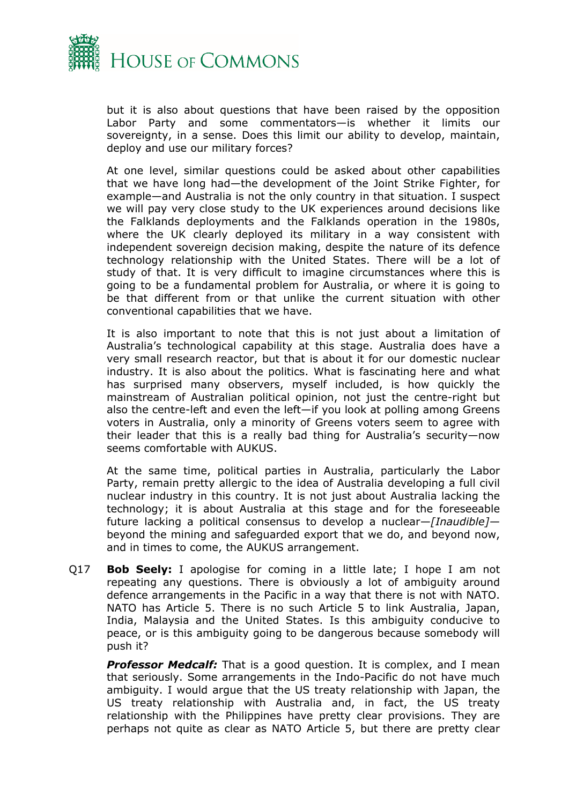

but it is also about questions that have been raised by the opposition Labor Party and some commentators—is whether it limits our sovereignty, in a sense. Does this limit our ability to develop, maintain, deploy and use our military forces?

At one level, similar questions could be asked about other capabilities that we have long had—the development of the Joint Strike Fighter, for example—and Australia is not the only country in that situation. I suspect we will pay very close study to the UK experiences around decisions like the Falklands deployments and the Falklands operation in the 1980s, where the UK clearly deployed its military in a way consistent with independent sovereign decision making, despite the nature of its defence technology relationship with the United States. There will be a lot of study of that. It is very difficult to imagine circumstances where this is going to be a fundamental problem for Australia, or where it is going to be that different from or that unlike the current situation with other conventional capabilities that we have.

It is also important to note that this is not just about a limitation of Australia's technological capability at this stage. Australia does have a very small research reactor, but that is about it for our domestic nuclear industry. It is also about the politics. What is fascinating here and what has surprised many observers, myself included, is how quickly the mainstream of Australian political opinion, not just the centre-right but also the centre-left and even the left—if you look at polling among Greens voters in Australia, only a minority of Greens voters seem to agree with their leader that this is a really bad thing for Australia's security—now seems comfortable with AUKUS.

At the same time, political parties in Australia, particularly the Labor Party, remain pretty allergic to the idea of Australia developing a full civil nuclear industry in this country. It is not just about Australia lacking the technology; it is about Australia at this stage and for the foreseeable future lacking a political consensus to develop a nuclear—*[Inaudible]* beyond the mining and safeguarded export that we do, and beyond now, and in times to come, the AUKUS arrangement.

Q17 **Bob Seely:** I apologise for coming in a little late; I hope I am not repeating any questions. There is obviously a lot of ambiguity around defence arrangements in the Pacific in a way that there is not with NATO. NATO has Article 5. There is no such Article 5 to link Australia, Japan, India, Malaysia and the United States. Is this ambiguity conducive to peace, or is this ambiguity going to be dangerous because somebody will push it?

**Professor Medcalf:** That is a good question. It is complex, and I mean that seriously. Some arrangements in the Indo-Pacific do not have much ambiguity. I would argue that the US treaty relationship with Japan, the US treaty relationship with Australia and, in fact, the US treaty relationship with the Philippines have pretty clear provisions. They are perhaps not quite as clear as NATO Article 5, but there are pretty clear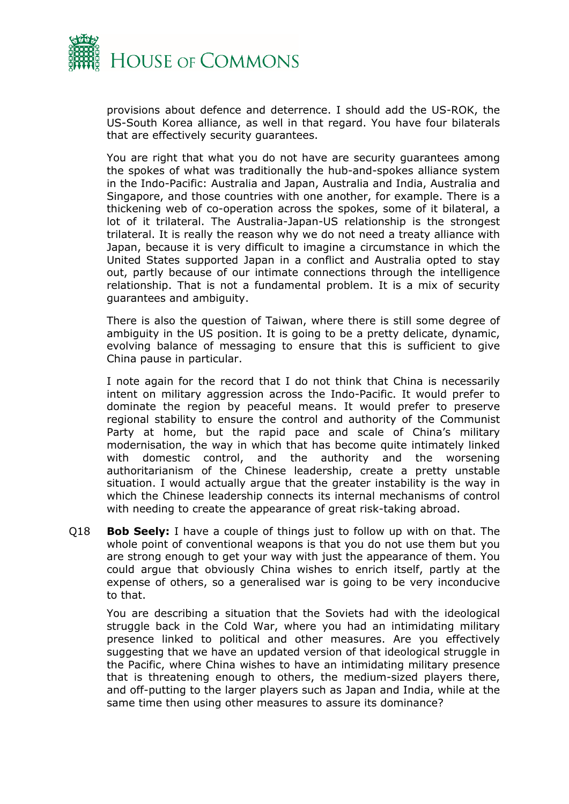

provisions about defence and deterrence. I should add the US-ROK, the US-South Korea alliance, as well in that regard. You have four bilaterals that are effectively security guarantees.

You are right that what you do not have are security guarantees among the spokes of what was traditionally the hub-and-spokes alliance system in the Indo-Pacific: Australia and Japan, Australia and India, Australia and Singapore, and those countries with one another, for example. There is a thickening web of co-operation across the spokes, some of it bilateral, a lot of it trilateral. The Australia-Japan-US relationship is the strongest trilateral. It is really the reason why we do not need a treaty alliance with Japan, because it is very difficult to imagine a circumstance in which the United States supported Japan in a conflict and Australia opted to stay out, partly because of our intimate connections through the intelligence relationship. That is not a fundamental problem. It is a mix of security guarantees and ambiguity.

There is also the question of Taiwan, where there is still some degree of ambiguity in the US position. It is going to be a pretty delicate, dynamic, evolving balance of messaging to ensure that this is sufficient to give China pause in particular.

I note again for the record that I do not think that China is necessarily intent on military aggression across the Indo-Pacific. It would prefer to dominate the region by peaceful means. It would prefer to preserve regional stability to ensure the control and authority of the Communist Party at home, but the rapid pace and scale of China's military modernisation, the way in which that has become quite intimately linked with domestic control, and the authority and the worsening authoritarianism of the Chinese leadership, create a pretty unstable situation. I would actually argue that the greater instability is the way in which the Chinese leadership connects its internal mechanisms of control with needing to create the appearance of great risk-taking abroad.

Q18 **Bob Seely:** I have a couple of things just to follow up with on that. The whole point of conventional weapons is that you do not use them but you are strong enough to get your way with just the appearance of them. You could argue that obviously China wishes to enrich itself, partly at the expense of others, so a generalised war is going to be very inconducive to that.

You are describing a situation that the Soviets had with the ideological struggle back in the Cold War, where you had an intimidating military presence linked to political and other measures. Are you effectively suggesting that we have an updated version of that ideological struggle in the Pacific, where China wishes to have an intimidating military presence that is threatening enough to others, the medium-sized players there, and off-putting to the larger players such as Japan and India, while at the same time then using other measures to assure its dominance?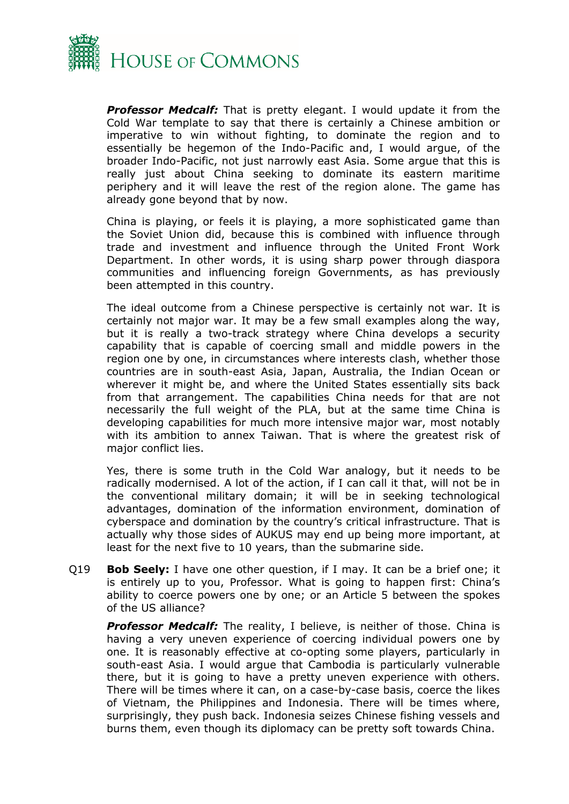

*Professor Medcalf:* That is pretty elegant. I would update it from the Cold War template to say that there is certainly a Chinese ambition or imperative to win without fighting, to dominate the region and to essentially be hegemon of the Indo-Pacific and, I would argue, of the broader Indo-Pacific, not just narrowly east Asia. Some argue that this is really just about China seeking to dominate its eastern maritime periphery and it will leave the rest of the region alone. The game has already gone beyond that by now.

China is playing, or feels it is playing, a more sophisticated game than the Soviet Union did, because this is combined with influence through trade and investment and influence through the United Front Work Department. In other words, it is using sharp power through diaspora communities and influencing foreign Governments, as has previously been attempted in this country.

The ideal outcome from a Chinese perspective is certainly not war. It is certainly not major war. It may be a few small examples along the way, but it is really a two-track strategy where China develops a security capability that is capable of coercing small and middle powers in the region one by one, in circumstances where interests clash, whether those countries are in south-east Asia, Japan, Australia, the Indian Ocean or wherever it might be, and where the United States essentially sits back from that arrangement. The capabilities China needs for that are not necessarily the full weight of the PLA, but at the same time China is developing capabilities for much more intensive major war, most notably with its ambition to annex Taiwan. That is where the greatest risk of major conflict lies.

Yes, there is some truth in the Cold War analogy, but it needs to be radically modernised. A lot of the action, if I can call it that, will not be in the conventional military domain; it will be in seeking technological advantages, domination of the information environment, domination of cyberspace and domination by the country's critical infrastructure. That is actually why those sides of AUKUS may end up being more important, at least for the next five to 10 years, than the submarine side.

Q19 **Bob Seely:** I have one other question, if I may. It can be a brief one; it is entirely up to you, Professor. What is going to happen first: China's ability to coerce powers one by one; or an Article 5 between the spokes of the US alliance?

**Professor Medcalf:** The reality, I believe, is neither of those. China is having a very uneven experience of coercing individual powers one by one. It is reasonably effective at co-opting some players, particularly in south-east Asia. I would argue that Cambodia is particularly vulnerable there, but it is going to have a pretty uneven experience with others. There will be times where it can, on a case-by-case basis, coerce the likes of Vietnam, the Philippines and Indonesia. There will be times where, surprisingly, they push back. Indonesia seizes Chinese fishing vessels and burns them, even though its diplomacy can be pretty soft towards China.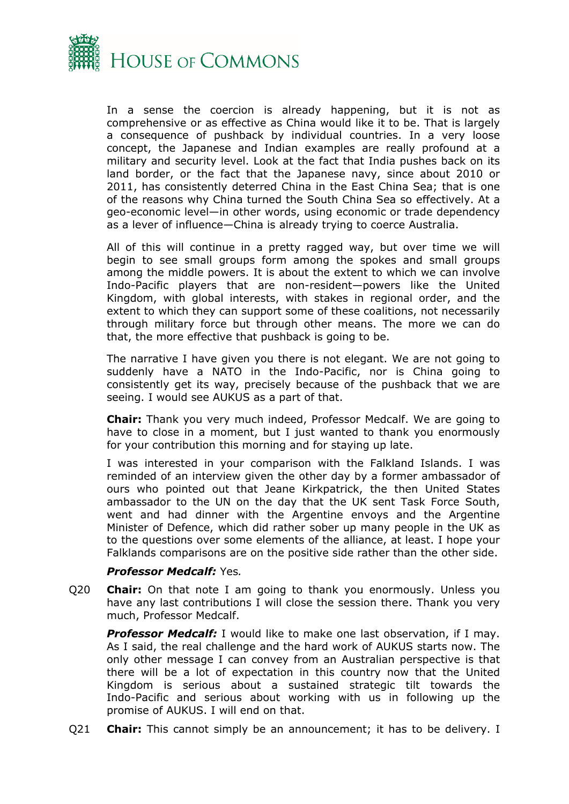

In a sense the coercion is already happening, but it is not as comprehensive or as effective as China would like it to be. That is largely a consequence of pushback by individual countries. In a very loose concept, the Japanese and Indian examples are really profound at a military and security level. Look at the fact that India pushes back on its land border, or the fact that the Japanese navy, since about 2010 or 2011, has consistently deterred China in the East China Sea; that is one of the reasons why China turned the South China Sea so effectively. At a geo-economic level—in other words, using economic or trade dependency as a lever of influence—China is already trying to coerce Australia.

All of this will continue in a pretty ragged way, but over time we will begin to see small groups form among the spokes and small groups among the middle powers. It is about the extent to which we can involve Indo-Pacific players that are non-resident—powers like the United Kingdom, with global interests, with stakes in regional order, and the extent to which they can support some of these coalitions, not necessarily through military force but through other means. The more we can do that, the more effective that pushback is going to be.

The narrative I have given you there is not elegant. We are not going to suddenly have a NATO in the Indo-Pacific, nor is China going to consistently get its way, precisely because of the pushback that we are seeing. I would see AUKUS as a part of that.

**Chair:** Thank you very much indeed, Professor Medcalf. We are going to have to close in a moment, but I just wanted to thank you enormously for your contribution this morning and for staying up late.

I was interested in your comparison with the Falkland Islands. I was reminded of an interview given the other day by a former ambassador of ours who pointed out that Jeane Kirkpatrick, the then United States ambassador to the UN on the day that the UK sent Task Force South, went and had dinner with the Argentine envoys and the Argentine Minister of Defence, which did rather sober up many people in the UK as to the questions over some elements of the alliance, at least. I hope your Falklands comparisons are on the positive side rather than the other side.

#### *Professor Medcalf:* Yes*.*

Q20 **Chair:** On that note I am going to thank you enormously. Unless you have any last contributions I will close the session there. Thank you very much, Professor Medcalf.

*Professor Medcalf:* I would like to make one last observation, if I may. As I said, the real challenge and the hard work of AUKUS starts now. The only other message I can convey from an Australian perspective is that there will be a lot of expectation in this country now that the United Kingdom is serious about a sustained strategic tilt towards the Indo-Pacific and serious about working with us in following up the promise of AUKUS. I will end on that.

Q21 **Chair:** This cannot simply be an announcement; it has to be delivery. I